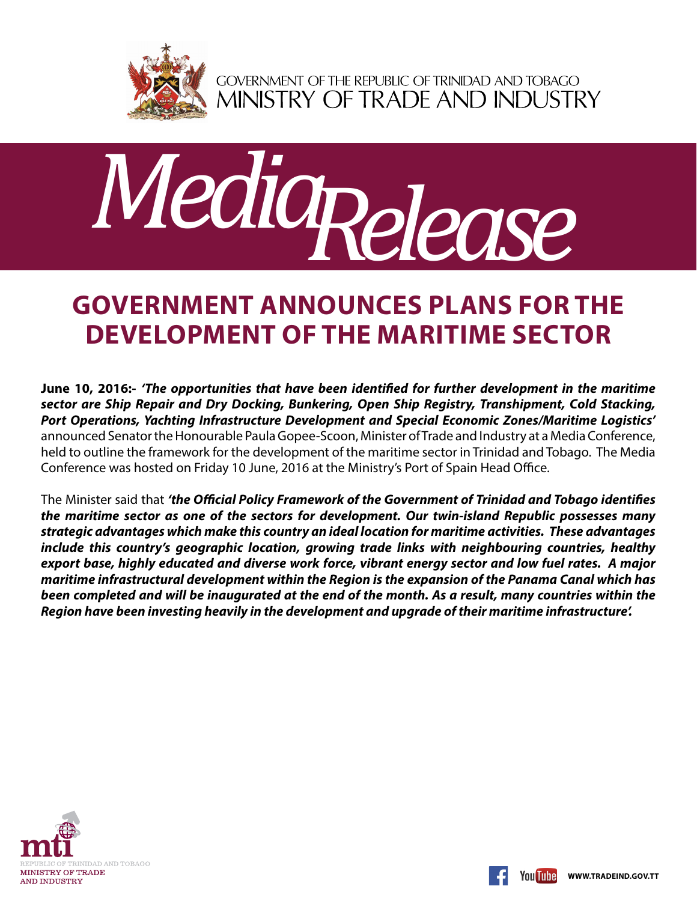

GOVERNMENT OF THE REPUBLIC OF TRINIDAD AND TOBAGO<br>MINISTRY OF TRADE AND INDUSTRY



## **Government announces plans for the development of the Maritime Sector**

**June 10, 2016:-** *'The opportunities that have been identified for further development in the maritime sector are Ship Repair and Dry Docking, Bunkering, Open Ship Registry, Transhipment, Cold Stacking, Port Operations, Yachting Infrastructure Development and Special Economic Zones/Maritime Logistics'*  announced Senator the Honourable Paula Gopee-Scoon, Minister of Trade and Industry at a Media Conference, held to outline the framework for the development of the maritime sector in Trinidad and Tobago. The Media Conference was hosted on Friday 10 June, 2016 at the Ministry's Port of Spain Head Office.

The Minister said that *'the Official Policy Framework of the Government of Trinidad and Tobago identifies the maritime sector as one of the sectors for development. Our twin-island Republic possesses many strategic advantages which make this country an ideal location for maritime activities. These advantages include this country's geographic location, growing trade links with neighbouring countries, healthy export base, highly educated and diverse work force, vibrant energy sector and low fuel rates. A major maritime infrastructural development within the Region is the expansion of the Panama Canal which has been completed and will be inaugurated at the end of the month. As a result, many countries within the Region have been investing heavily in the development and upgrade of their maritime infrastructure'.*